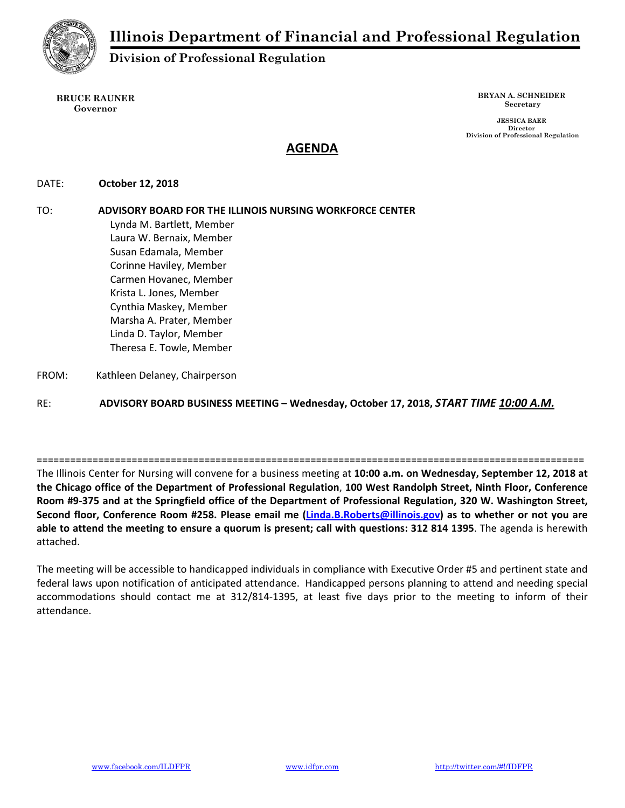

## **Division of Professional Regulation**

**BRUCE RAUNER Governor** 

**BRYAN A. SCHNEIDER Secretary** 

 **JESSICA BAER Director Division of Professional Regulation** 

# **AGENDA**

DATE:  **October 12, 2018** 

TO: **ADVISORY BOARD FOR THE ILLINOIS NURSING WORKFORCE CENTER** Lynda M. Bartlett, Member Laura W. Bernaix, Member Susan Edamala, Member Corinne Haviley, Member Carmen Hovanec, Member Krista L. Jones, Member Cynthia Maskey, Member Marsha A. Prater, Member Linda D. Taylor, Member Theresa E. Towle, Member FROM: Kathleen Delaney, Chairperson

RE: **ADVISORY BOARD BUSINESS MEETING – Wednesday, October 17, 2018,** *START TIME 10:00 A.M.*

The Illinois Center for Nursing will convene for a business meeting at **10:00 a.m. on Wednesday, September 12, 2018 at the Chicago office of the Department of Professional Regulation**, **100 West Randolph Street, Ninth Floor, Conference Room #9‐375 and at the Springfield office of the Department of Professional Regulation, 320 W. Washington Street, Second floor, Conference Room #258. Please email me (Linda.B.Roberts@illinois.gov) as to whether or not you are able to attend the meeting to ensure a quorum is present; call with questions: 312 814 1395**. The agenda is herewith attached.

==================================================================================================

The meeting will be accessible to handicapped individuals in compliance with Executive Order #5 and pertinent state and federal laws upon notification of anticipated attendance. Handicapped persons planning to attend and needing special accommodations should contact me at 312/814‐1395, at least five days prior to the meeting to inform of their attendance.